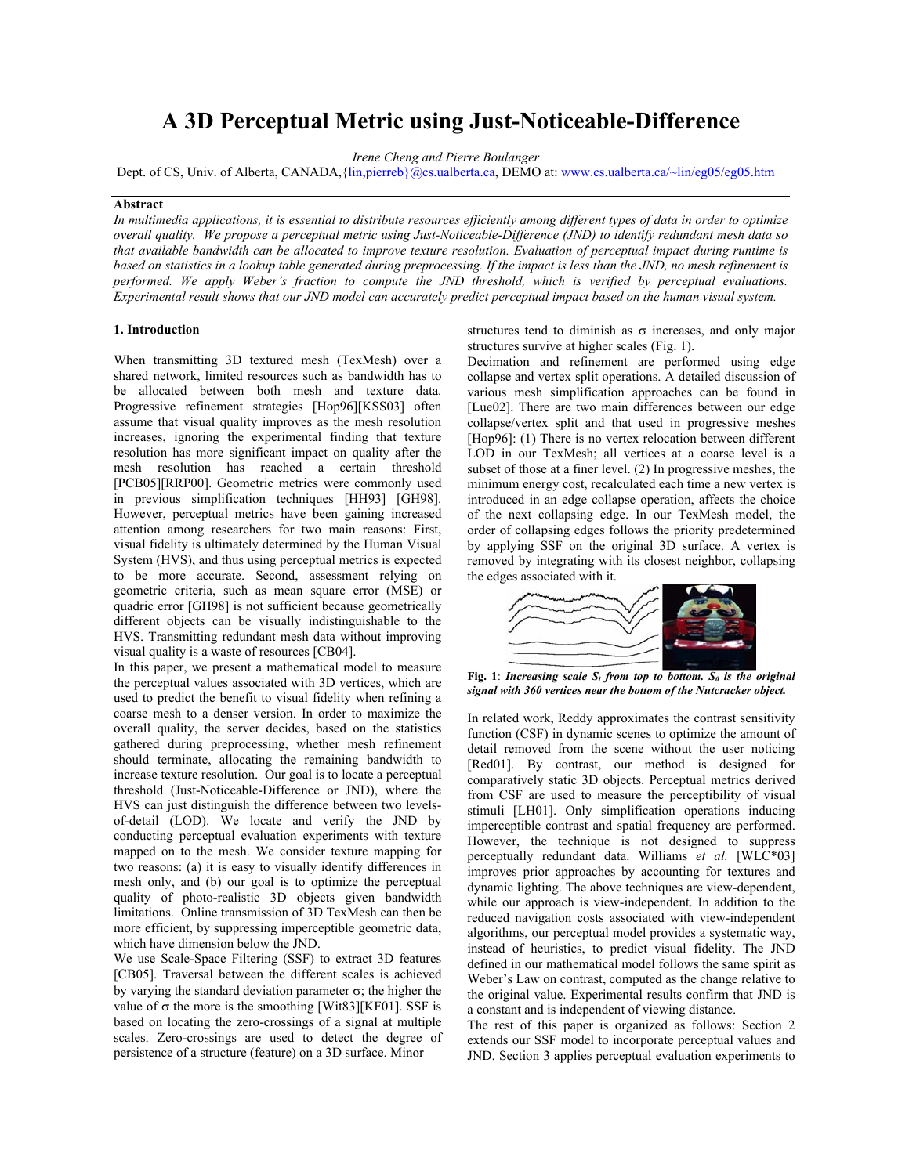# **A 3D Perceptual Metric using Just-Noticeable-Difference**

*Irene Cheng and Pierre Boulanger*

Dept. of CS, Univ. of Alberta, CANADA, {[lin,pierreb}@cs.ualberta.ca,](mailto:Lin@cs.ualberta.ca) DEMO at: [www.cs.ualberta.ca/~lin/eg05/eg05.htm](http://www.cs.ualberta.ca/~lin/eg05/eg05.htm)

# **Abstract**

*In multimedia applications, it is essential to distribute resources efficiently among different types of data in order to optimize overall quality. We propose a perceptual metric using Just-Noticeable-Difference (JND) to identify redundant mesh data so that available bandwidth can be allocated to improve texture resolution. Evaluation of perceptual impact during runtime is based on statistics in a lookup table generated during preprocessing. If the impact is less than the JND, no mesh refinement is performed. We apply Weber's fraction to compute the JND threshold, which is verified by perceptual evaluations. Experimental result shows that our JND model can accurately predict perceptual impact based on the human visual system.* 

When transmitting 3D textured mesh (TexMesh) over a shared network, limited resources such as bandwidth has to be allocated between both mesh and texture data. Progressive refinement strategies [Hop96][KSS03] often assume that visual quality improves as the mesh resolution increases, ignoring the experimental finding that texture resolution has more significant impact on quality after the mesh resolution has reached a certain threshold [PCB05][RRP00]. Geometric metrics were commonly used in previous simplification techniques [HH93] [GH98]. However, perceptual metrics have been gaining increased attention among researchers for two main reasons: First, visual fidelity is ultimately determined by the Human Visual System (HVS), and thus using perceptual metrics is expected to be more accurate. Second, assessment relying on geometric criteria, such as mean square error (MSE) or quadric error [GH98] is not sufficient because geometrically different objects can be visually indistinguishable to the HVS. Transmitting redundant mesh data without improving visual quality is a waste of resources [CB04].

In this paper, we present a mathematical model to measure the perceptual values associated with 3D vertices, which are used to predict the benefit to visual fidelity when refining a coarse mesh to a denser version. In order to maximize the overall quality, the server decides, based on the statistics gathered during preprocessing, whether mesh refinement should terminate, allocating the remaining bandwidth to increase texture resolution. Our goal is to locate a perceptual threshold (Just-Noticeable-Difference or JND), where the HVS can just distinguish the difference between two levelsof-detail (LOD). We locate and verify the JND by conducting perceptual evaluation experiments with texture mapped on to the mesh. We consider texture mapping for two reasons: (a) it is easy to visually identify differences in mesh only, and (b) our goal is to optimize the perceptual quality of photo-realistic 3D objects given bandwidth limitations. Online transmission of 3D TexMesh can then be more efficient, by suppressing imperceptible geometric data, which have dimension below the JND.

We use Scale-Space Filtering (SSF) to extract 3D features [CB05]. Traversal between the different scales is achieved by varying the standard deviation parameter  $\sigma$ ; the higher the value of  $\sigma$  the more is the smoothing [Wit83][KF01]. SSF is based on locating the zero-crossings of a signal at multiple scales. Zero-crossings are used to detect the degree of persistence of a structure (feature) on a 3D surface. Minor

**1. Introduction** structures tend to diminish as σ increases, and only major structures survive at higher scales (Fig. 1).

> Decimation and refinement are performed using edge collapse and vertex split operations. A detailed discussion of various mesh simplification approaches can be found in [Lue02]. There are two main differences between our edge collapse/vertex split and that used in progressive meshes [Hop96]: (1) There is no vertex relocation between different LOD in our TexMesh; all vertices at a coarse level is a subset of those at a finer level. (2) In progressive meshes, the minimum energy cost, recalculated each time a new vertex is introduced in an edge collapse operation, affects the choice of the next collapsing edge. In our TexMesh model, the order of collapsing edges follows the priority predetermined by applying SSF on the original 3D surface. A vertex is removed by integrating with its closest neighbor, collapsing the edges associated with it.



Fig. 1: *Increasing scale*  $S_i$  *from top to bottom.*  $S_0$  *is the original signal with 360 vertices near the bottom of the Nutcracker object.*

In related work, Reddy approximates the contrast sensitivity function (CSF) in dynamic scenes to optimize the amount of detail removed from the scene without the user noticing [Red01]. By contrast, our method is designed for comparatively static 3D objects. Perceptual metrics derived from CSF are used to measure the perceptibility of visual stimuli [LH01]. Only simplification operations inducing imperceptible contrast and spatial frequency are performed. However, the technique is not designed to suppress perceptually redundant data. Williams *et al.* [WLC\*03] improves prior approaches by accounting for textures and dynamic lighting. The above techniques are view-dependent, while our approach is view-independent. In addition to the reduced navigation costs associated with view-independent algorithms, our perceptual model provides a systematic way, instead of heuristics, to predict visual fidelity. The JND defined in our mathematical model follows the same spirit as Weber's Law on contrast, computed as the change relative to the original value. Experimental results confirm that JND is a constant and is independent of viewing distance.

The rest of this paper is organized as follows: Section 2 extends our SSF model to incorporate perceptual values and JND. Section 3 applies perceptual evaluation experiments to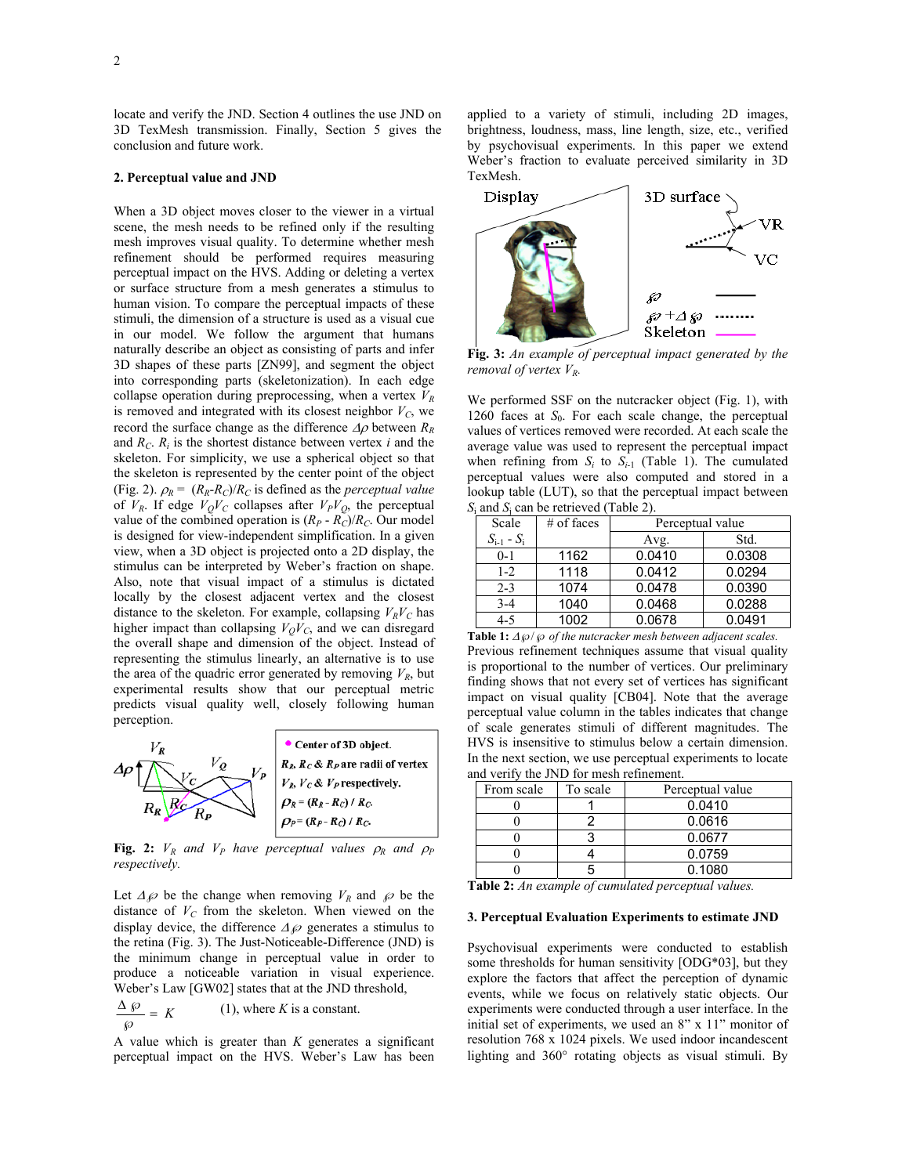locate and verify the JND. Section 4 outlines the use JND on 3D TexMesh transmission. Finally, Section 5 gives the conclusion and future work.

### **2. Perceptual value and JND**

When a 3D object moves closer to the viewer in a virtual scene, the mesh needs to be refined only if the resulting mesh improves visual quality. To determine whether mesh refinement should be performed requires measuring perceptual impact on the HVS. Adding or deleting a vertex or surface structure from a mesh generates a stimulus to human vision. To compare the perceptual impacts of these stimuli, the dimension of a structure is used as a visual cue in our model. We follow the argument that humans naturally describe an object as consisting of parts and infer 3D shapes of these parts [ZN99], and segment the object into corresponding parts (skeletonization). In each edge collapse operation during preprocessing, when a vertex  $V_R$ is removed and integrated with its closest neighbor  $V_C$ , we record the surface change as the difference ∆ρ between *RR* and  $R_C$ .  $R_i$  is the shortest distance between vertex *i* and the skeleton. For simplicity, we use a spherical object so that the skeleton is represented by the center point of the object (Fig. 2).  $\rho_R = (R_R - R_C)/R_C$  is defined as the *perceptual value* of  $V_R$ . If edge  $V_QV_C$  collapses after  $V_PV_Q$ , the perceptual value of the combined operation is  $(R_P - R_C)/R_C$ . Our model is designed for view-independent simplification. In a given view, when a 3D object is projected onto a 2D display, the stimulus can be interpreted by Weber's fraction on shape. Also, note that visual impact of a stimulus is dictated locally by the closest adjacent vertex and the closest distance to the skeleton. For example, collapsing  $V_R V_C$  has higher impact than collapsing  $V_QV_C$ , and we can disregard the overall shape and dimension of the object. Instead of representing the stimulus linearly, an alternative is to use the area of the quadric error generated by removing  $V_R$ , but experimental results show that our perceptual metric predicts visual quality well, closely following human perception.



**Fig. 2:**  $V_R$  and  $V_P$  have perceptual values  $\rho_R$  and  $\rho_P$ *respectively.* 

Let  $\Delta \varphi$  be the change when removing  $V_R$  and  $\varphi$  be the distance of  $V_C$  from the skeleton. When viewed on the display device, the difference  $\Delta \wp$  generates a stimulus to the retina (Fig. 3). The Just-Noticeable-Difference (JND) is the minimum change in perceptual value in order to produce a noticeable variation in visual experience. Weber's Law [GW02] states that at the JND threshold,

 $\frac{\Delta \mathcal{L}}{K} = K$  $\wp$  $(1)$ , where *K* is a constant.

A value which is greater than *K* generates a significant perceptual impact on the HVS. Weber's Law has been applied to a variety of stimuli, including 2D images, brightness, loudness, mass, line length, size, etc., verified by psychovisual experiments. In this paper we extend Weber's fraction to evaluate perceived similarity in 3D TexMesh.



**Fig. 3:** *An example of perceptual impact generated by the removal of vertex V<sub>R</sub>.* 

We performed SSF on the nutcracker object (Fig. 1), with 1260 faces at  $S_0$ . For each scale change, the perceptual values of vertices removed were recorded. At each scale the average value was used to represent the perceptual impact when refining from  $S_i$  to  $S_{i-1}$  (Table 1). The cumulated perceptual values were also computed and stored in a lookup table (LUT), so that the perceptual impact between *S*i and *S*<sup>j</sup> can be retrieved (Table 2).

| Scale           | $#$ of faces | Perceptual value |        |
|-----------------|--------------|------------------|--------|
| $S_{i-1} - S_i$ |              | Avg.             | Std.   |
| $0 - 1$         | 1162         | 0.0410           | 0.0308 |
| $1 - 2$         | 1118         | 0.0412           | 0.0294 |
| $2 - 3$         | 1074         | 0.0478           | 0.0390 |
| $3 - 4$         | 1040         | 0.0468           | 0.0288 |
| $4 - 5$         | 1002         | 0.0678           | 0.0491 |

**Table 1:** <sup>∆</sup>℘/℘ *of the nutcracker mesh between adjacent scales.*  Previous refinement techniques assume that visual quality is proportional to the number of vertices. Our preliminary finding shows that not every set of vertices has significant impact on visual quality [CB04]. Note that the average perceptual value column in the tables indicates that change of scale generates stimuli of different magnitudes. The HVS is insensitive to stimulus below a certain dimension. In the next section, we use perceptual experiments to locate and verify the JND for mesh refinement.

| From scale | To scale | Perceptual value |  |
|------------|----------|------------------|--|
|            |          | 0.0410           |  |
|            |          | 0.0616           |  |
|            |          | 0.0677           |  |
|            |          | 0.0759           |  |
|            |          | 0.1080           |  |

**Table 2:** *An example of cumulated perceptual values.*

# **3. Perceptual Evaluation Experiments to estimate JND**

Psychovisual experiments were conducted to establish some thresholds for human sensitivity [ODG\*03], but they explore the factors that affect the perception of dynamic events, while we focus on relatively static objects. Our experiments were conducted through a user interface. In the initial set of experiments, we used an 8" x 11" monitor of resolution 768 x 1024 pixels. We used indoor incandescent lighting and 360° rotating objects as visual stimuli. By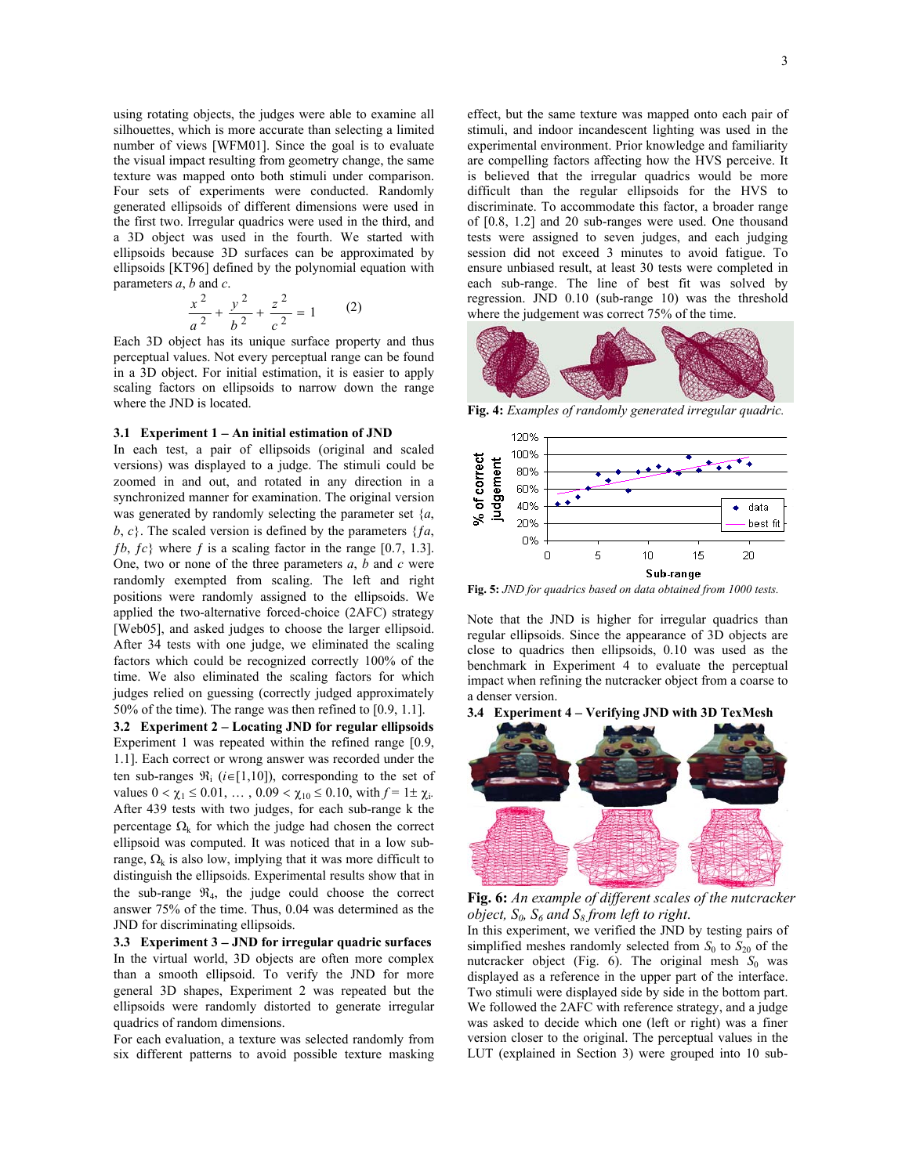using rotating objects, the judges were able to examine all silhouettes, which is more accurate than selecting a limited number of views [WFM01]. Since the goal is to evaluate the visual impact resulting from geometry change, the same texture was mapped onto both stimuli under comparison. Four sets of experiments were conducted. Randomly generated ellipsoids of different dimensions were used in the first two. Irregular quadrics were used in the third, and a 3D object was used in the fourth. We started with ellipsoids because 3D surfaces can be approximated by ellipsoids [KT96] defined by the polynomial equation with parameters *a*, *b* and *c*.

$$
\frac{x^2}{a^2} + \frac{y^2}{b^2} + \frac{z^2}{c^2} = 1
$$
 (2)

Each 3D object has its unique surface property and thus perceptual values. Not every perceptual range can be found in a 3D object. For initial estimation, it is easier to apply scaling factors on ellipsoids to narrow down the range where the JND is located.

### **3.1 Experiment 1** − **An initial estimation of JND**

In each test, a pair of ellipsoids (original and scaled versions) was displayed to a judge. The stimuli could be zoomed in and out, and rotated in any direction in a synchronized manner for examination. The original version was generated by randomly selecting the parameter set {*a*,  $b, c$ }. The scaled version is defined by the parameters  ${fa}$ ,  $fb, fc\}$  where f is a scaling factor in the range [0.7, 1.3]. One, two or none of the three parameters *a*, *b* and *c* were randomly exempted from scaling. The left and right positions were randomly assigned to the ellipsoids. We applied the two-alternative forced-choice (2AFC) strategy [Web05], and asked judges to choose the larger ellipsoid. After 34 tests with one judge, we eliminated the scaling factors which could be recognized correctly 100% of the time. We also eliminated the scaling factors for which judges relied on guessing (correctly judged approximately 50% of the time). The range was then refined to [0.9, 1.1].

**3.2 Experiment 2** − **Locating JND for regular ellipsoids** Experiment 1 was repeated within the refined range [0.9, 1.1]. Each correct or wrong answer was recorded under the ten sub-ranges  $\Re_i$  (*i*∈[1,10]), corresponding to the set of values  $0 < \chi_1 \leq 0.01, \ldots, 0.09 < \chi_{10} \leq 0.10$ , with  $f = 1 \pm \chi_i$ . After 439 tests with two judges, for each sub-range k the percentage  $\Omega_k$  for which the judge had chosen the correct ellipsoid was computed. It was noticed that in a low subrange,  $\Omega_k$  is also low, implying that it was more difficult to distinguish the ellipsoids. Experimental results show that in the sub-range  $\mathfrak{R}_4$ , the judge could choose the correct answer 75% of the time. Thus, 0.04 was determined as the JND for discriminating ellipsoids.

**3.3 Experiment 3** − **JND for irregular quadric surfaces** In the virtual world, 3D objects are often more complex than a smooth ellipsoid. To verify the JND for more general 3D shapes, Experiment 2 was repeated but the ellipsoids were randomly distorted to generate irregular quadrics of random dimensions.

For each evaluation, a texture was selected randomly from six different patterns to avoid possible texture masking effect, but the same texture was mapped onto each pair of stimuli, and indoor incandescent lighting was used in the experimental environment. Prior knowledge and familiarity are compelling factors affecting how the HVS perceive. It is believed that the irregular quadrics would be more difficult than the regular ellipsoids for the HVS to discriminate. To accommodate this factor, a broader range of [0.8, 1.2] and 20 sub-ranges were used. One thousand tests were assigned to seven judges, and each judging session did not exceed 3 minutes to avoid fatigue. To ensure unbiased result, at least 30 tests were completed in each sub-range. The line of best fit was solved by regression. JND 0.10 (sub-range 10) was the threshold where the judgement was correct 75% of the time.



**Fig. 4:** *Examples of randomly generated irregular quadric.*



**Fig. 5:** *JND for quadrics based on data obtained from 1000 tests.*

Note that the JND is higher for irregular quadrics than regular ellipsoids. Since the appearance of 3D objects are close to quadrics then ellipsoids, 0.10 was used as the benchmark in Experiment 4 to evaluate the perceptual impact when refining the nutcracker object from a coarse to a denser version.



**Fig. 6:** *An example of different scales of the nutcracker object,*  $S_0$ *,*  $S_6$  *and*  $S_8$  *from left to right.* 

In this experiment, we verified the JND by testing pairs of simplified meshes randomly selected from  $S_0$  to  $S_{20}$  of the nutcracker object (Fig. 6). The original mesh  $S_0$  was displayed as a reference in the upper part of the interface. Two stimuli were displayed side by side in the bottom part. We followed the 2AFC with reference strategy, and a judge was asked to decide which one (left or right) was a finer version closer to the original. The perceptual values in the LUT (explained in Section 3) were grouped into 10 sub